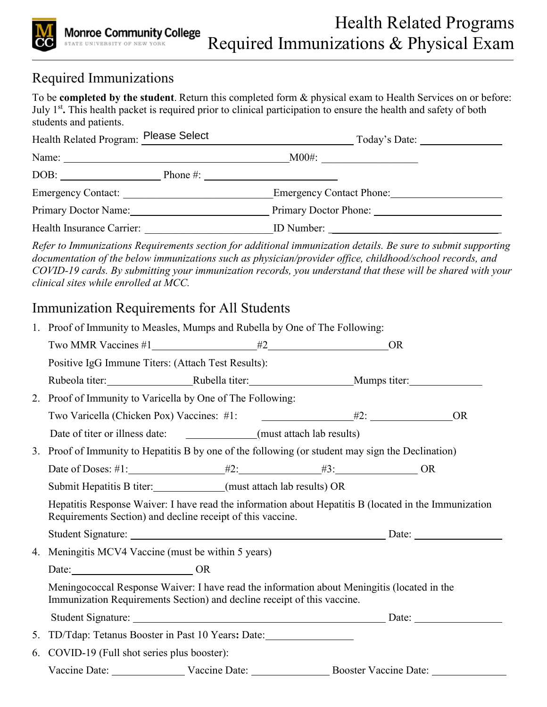

## Required Immunizations

To be **completed by the student**. Return this completed form & physical exam to Health Services on or before: July 1st**.** This health packet is required prior to clinical participation to ensure the health and safety of both students and patients.

|                                                                         | Health Related Program: Please Select | Today's Date:                   |
|-------------------------------------------------------------------------|---------------------------------------|---------------------------------|
| Name: $\frac{1}{\sqrt{1-\frac{1}{2}}}\left\vert \frac{1}{2}\right\vert$ |                                       | $M00\text{\#}:$                 |
| DOB:                                                                    | Phone $\#$ :                          |                                 |
| Emergency Contact:                                                      |                                       | <b>Emergency Contact Phone:</b> |
| Primary Doctor Name:                                                    |                                       | Primary Doctor Phone:           |
| Health Insurance Carrier:                                               |                                       | ID Number:                      |

*Refer to Immunizations Requirements section for additional immunization details. Be sure to submit supporting documentation of the below immunizations such as physician/provider office, childhood/school records, and COVID-19 cards. By submitting your immunization records, you understand that these will be shared with your clinical sites while enrolled at MCC.*

### Immunization Requirements for All Students

|    | 1. Proof of Immunity to Measles, Mumps and Rubella by One of The Following:                                                                                            |  |  |  |
|----|------------------------------------------------------------------------------------------------------------------------------------------------------------------------|--|--|--|
|    | Two MMR Vaccines $\#1$ $\qquad \qquad \#2$ $\qquad \qquad \text{OR}$                                                                                                   |  |  |  |
|    | Positive IgG Immune Titers: (Attach Test Results):                                                                                                                     |  |  |  |
|    |                                                                                                                                                                        |  |  |  |
|    | 2. Proof of Immunity to Varicella by One of The Following:                                                                                                             |  |  |  |
|    | Two Varicella (Chicken Pox) Vaccines: #1: $\qquad \qquad 2: \qquad \qquad 0R$                                                                                          |  |  |  |
|    | Date of titer or illness date: _______________(must attach lab results)                                                                                                |  |  |  |
|    | 3. Proof of Immunity to Hepatitis B by one of the following (or student may sign the Declination)                                                                      |  |  |  |
|    |                                                                                                                                                                        |  |  |  |
|    | Submit Hepatitis B titer: _____________(must attach lab results) OR                                                                                                    |  |  |  |
|    | Hepatitis Response Waiver: I have read the information about Hepatitis B (located in the Immunization<br>Requirements Section) and decline receipt of this vaccine.    |  |  |  |
|    |                                                                                                                                                                        |  |  |  |
| 4. | Meningitis MCV4 Vaccine (must be within 5 years)                                                                                                                       |  |  |  |
|    | Date: OR                                                                                                                                                               |  |  |  |
|    | Meningococcal Response Waiver: I have read the information about Meningitis (located in the<br>Immunization Requirements Section) and decline receipt of this vaccine. |  |  |  |
|    |                                                                                                                                                                        |  |  |  |
|    | 5. TD/Tdap: Tetanus Booster in Past 10 Years: Date: ____________________________                                                                                       |  |  |  |
| 6. | COVID-19 (Full shot series plus booster):                                                                                                                              |  |  |  |
|    |                                                                                                                                                                        |  |  |  |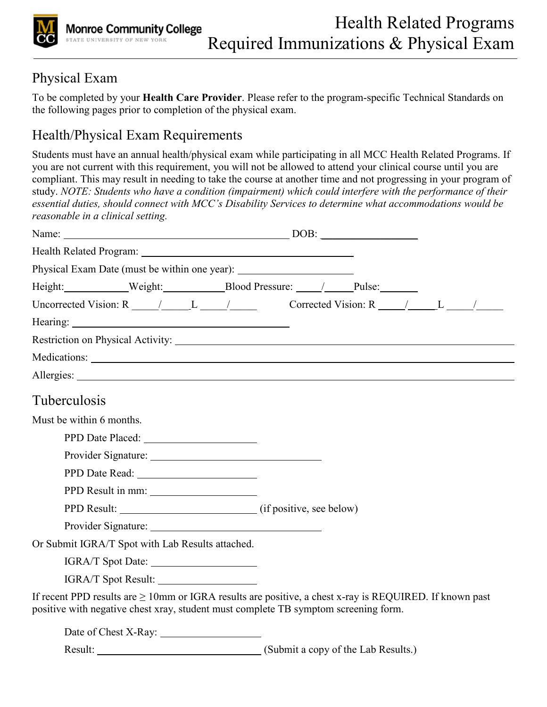

### Physical Exam

To be completed by your **Health Care Provider**. Please refer to the program-specific Technical Standards on the following pages prior to completion of the physical exam.

# Health/Physical Exam Requirements

Students must have an annual health/physical exam while participating in all MCC Health Related Programs. If you are not current with this requirement, you will not be allowed to attend your clinical course until you are compliant. This may result in needing to take the course at another time and not progressing in your program of study. *NOTE: Students who have a condition (impairment) which could interfere with the performance of their essential duties, should connect with MCC's Disability Services to determine what accommodations would be reasonable in a clinical setting.* 

| Name: $DOB:$                                                                        |                                                                                                               |
|-------------------------------------------------------------------------------------|---------------------------------------------------------------------------------------------------------------|
|                                                                                     |                                                                                                               |
| Physical Exam Date (must be within one year):                                       |                                                                                                               |
| Height: Weight: Blood Pressure: / Pulse:                                            |                                                                                                               |
|                                                                                     |                                                                                                               |
|                                                                                     |                                                                                                               |
|                                                                                     |                                                                                                               |
|                                                                                     |                                                                                                               |
|                                                                                     |                                                                                                               |
| Tuberculosis                                                                        |                                                                                                               |
| Must be within 6 months.                                                            |                                                                                                               |
|                                                                                     |                                                                                                               |
|                                                                                     |                                                                                                               |
|                                                                                     |                                                                                                               |
| PPD Result in mm:                                                                   |                                                                                                               |
|                                                                                     |                                                                                                               |
|                                                                                     |                                                                                                               |
| Or Submit IGRA/T Spot with Lab Results attached.                                    |                                                                                                               |
| IGRA/T Spot Date:                                                                   |                                                                                                               |
| IGRA/T Spot Result:                                                                 |                                                                                                               |
| positive with negative chest xray, student must complete TB symptom screening form. | If recent PPD results are $\geq 10$ mm or IGRA results are positive, a chest x-ray is REQUIRED. If known past |
|                                                                                     |                                                                                                               |
|                                                                                     |                                                                                                               |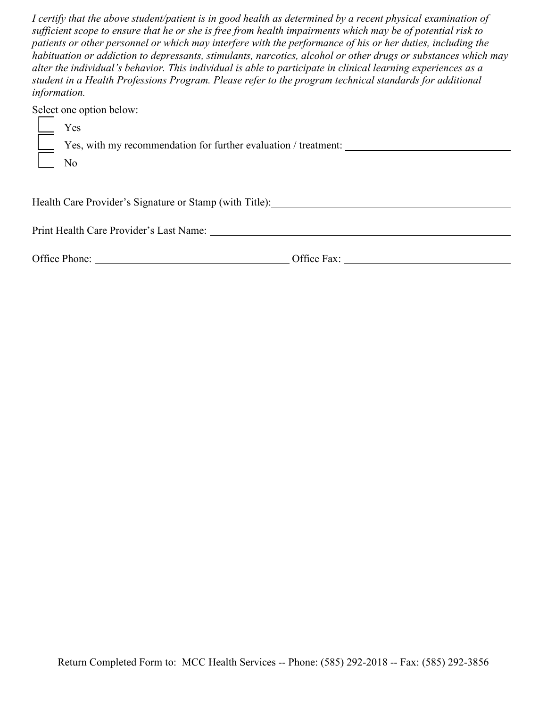*I certify that the above student/patient is in good health as determined by a recent physical examination of sufficient scope to ensure that he or she is free from health impairments which may be of potential risk to patients or other personnel or which may interfere with the performance of his or her duties, including the habituation or addiction to depressants, stimulants, narcotics, alcohol or other drugs or substances which may alter the individual's behavior. This individual is able to participate in clinical learning experiences as a student in a Health Professions Program. Please refer to the program technical standards for additional information.* 

Select one option below:

| Yes                                                             |
|-----------------------------------------------------------------|
| Yes, with my recommendation for further evaluation / treatment: |
| No                                                              |
|                                                                 |

Health Care Provider's Signature or Stamp (with Title):

Print Health Care Provider's Last Name:

| Office Phone: | Office Fax: |  |
|---------------|-------------|--|
|               |             |  |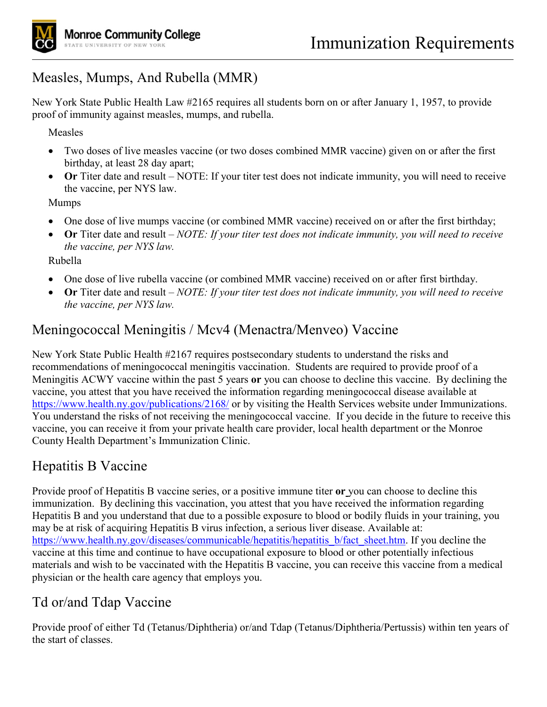# Measles, Mumps, And Rubella (MMR)

New York State Public Health Law #2165 requires all students born on or after January 1, 1957, to provide proof of immunity against measles, mumps, and rubella.

Measles

- Two doses of live measles vaccine (or two doses combined MMR vaccine) given on or after the first birthday, at least 28 day apart;
- **Or** Titer date and result NOTE: If your titer test does not indicate immunity, you will need to receive the vaccine, per NYS law.

Mumps

- One dose of live mumps vaccine (or combined MMR vaccine) received on or after the first birthday;
- **Or** Titer date and result *NOTE: If your titer test does not indicate immunity, you will need to receive the vaccine, per NYS law.*

Rubella

- One dose of live rubella vaccine (or combined MMR vaccine) received on or after first birthday.
- **Or** Titer date and result *NOTE: If your titer test does not indicate immunity, you will need to receive the vaccine, per NYS law.*

### Meningococcal Meningitis / Mcv4 (Menactra/Menveo) Vaccine

New York State Public Health #2167 requires postsecondary students to understand the risks and recommendations of meningococcal meningitis vaccination. Students are required to provide proof of a Meningitis ACWY vaccine within the past 5 years **or** you can choose to decline this vaccine. By declining the vaccine, you attest that you have received the information regarding meningococcal disease available at <https://www.health.ny.gov/publications/2168/> or by visiting the Health Services website under Immunizations. You understand the risks of not receiving the meningococcal vaccine. If you decide in the future to receive this vaccine, you can receive it from your private health care provider, local health department or the Monroe County Health Department's Immunization Clinic.

## Hepatitis B Vaccine

Provide proof of Hepatitis B vaccine series, or a positive immune titer **or** you can choose to decline this immunization. By declining this vaccination, you attest that you have received the information regarding Hepatitis B and you understand that due to a possible exposure to blood or bodily fluids in your training, you may be at risk of acquiring Hepatitis B virus infection, a serious liver disease. Available at: [https://www.health.ny.gov/diseases/communicable/hepatitis/hepatitis\\_b/fact\\_sheet.htm.](https://www.health.ny.gov/diseases/communicable/hepatitis/hepatitis_b/fact_sheet.htm) If you decline the vaccine at this time and continue to have occupational exposure to blood or other potentially infectious materials and wish to be vaccinated with the Hepatitis B vaccine, you can receive this vaccine from a medical physician or the health care agency that employs you.

### Td or/and Tdap Vaccine

Provide proof of either Td (Tetanus/Diphtheria) or/and Tdap (Tetanus/Diphtheria/Pertussis) within ten years of the start of classes.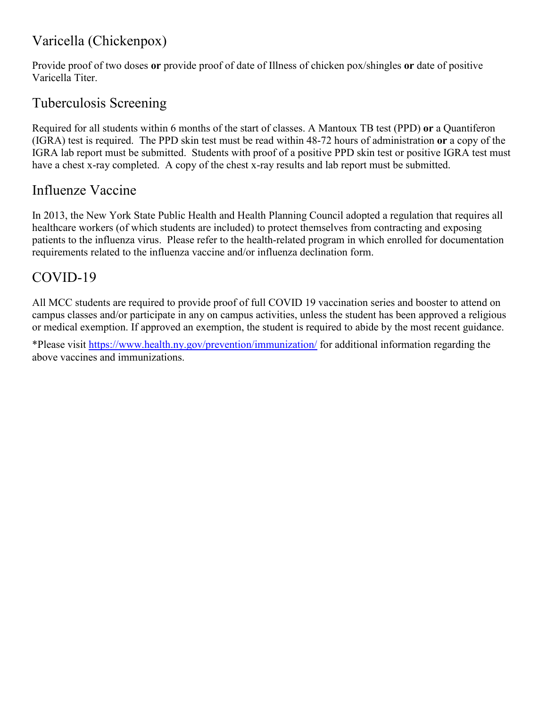## Varicella (Chickenpox)

Provide proof of two doses **or** provide proof of date of Illness of chicken pox/shingles **or** date of positive Varicella Titer.

### Tuberculosis Screening

Required for all students within 6 months of the start of classes. A Mantoux TB test (PPD) **or** a Quantiferon (IGRA) test is required. The PPD skin test must be read within 48-72 hours of administration **or** a copy of the IGRA lab report must be submitted. Students with proof of a positive PPD skin test or positive IGRA test must have a chest x-ray completed. A copy of the chest x-ray results and lab report must be submitted.

### Influenze Vaccine

In 2013, the New York State Public Health and Health Planning Council adopted a regulation that requires all healthcare workers (of which students are included) to protect themselves from contracting and exposing patients to the influenza virus. Please refer to the health-related program in which enrolled for documentation requirements related to the influenza vaccine and/or influenza declination form.

### COVID-19

All MCC students are required to provide proof of full COVID 19 vaccination series and booster to attend on campus classes and/or participate in any on campus activities, unless the student has been approved a religious or medical exemption. If approved an exemption, the student is required to abide by the most recent guidance.

\*Please visit<https://www.health.ny.gov/prevention/immunization/>for additional information regarding the above vaccines and immunizations.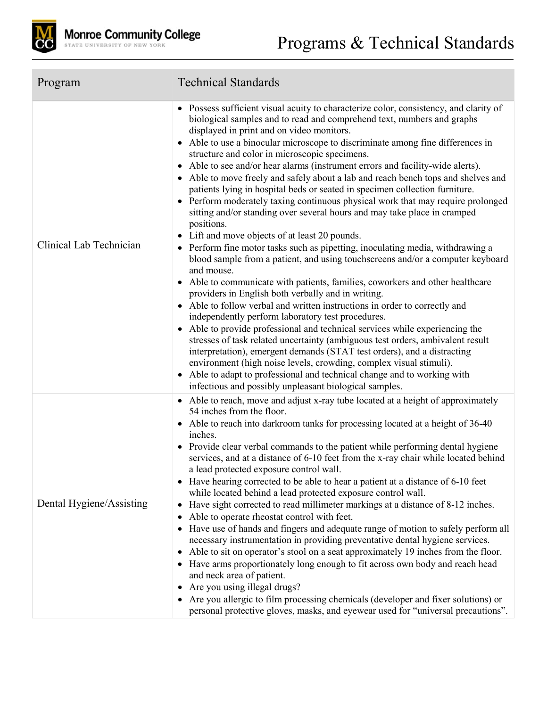

| Program                  | <b>Technical Standards</b>                                                                                                                                                                                                                                                                                                                                                                                                                                                                                                                                                                                                                                                                                                                                                                                                                                                                                                                                                                                                                                                                                                                                                                                                                                                                                                                                                                                                                                                                                                                                                                                                                                                                                                                            |
|--------------------------|-------------------------------------------------------------------------------------------------------------------------------------------------------------------------------------------------------------------------------------------------------------------------------------------------------------------------------------------------------------------------------------------------------------------------------------------------------------------------------------------------------------------------------------------------------------------------------------------------------------------------------------------------------------------------------------------------------------------------------------------------------------------------------------------------------------------------------------------------------------------------------------------------------------------------------------------------------------------------------------------------------------------------------------------------------------------------------------------------------------------------------------------------------------------------------------------------------------------------------------------------------------------------------------------------------------------------------------------------------------------------------------------------------------------------------------------------------------------------------------------------------------------------------------------------------------------------------------------------------------------------------------------------------------------------------------------------------------------------------------------------------|
| Clinical Lab Technician  | • Possess sufficient visual acuity to characterize color, consistency, and clarity of<br>biological samples and to read and comprehend text, numbers and graphs<br>displayed in print and on video monitors.<br>Able to use a binocular microscope to discriminate among fine differences in<br>structure and color in microscopic specimens.<br>• Able to see and/or hear alarms (instrument errors and facility-wide alerts).<br>• Able to move freely and safely about a lab and reach bench tops and shelves and<br>patients lying in hospital beds or seated in specimen collection furniture.<br>• Perform moderately taxing continuous physical work that may require prolonged<br>sitting and/or standing over several hours and may take place in cramped<br>positions.<br>• Lift and move objects of at least 20 pounds.<br>• Perform fine motor tasks such as pipetting, inoculating media, withdrawing a<br>blood sample from a patient, and using touchscreens and/or a computer keyboard<br>and mouse.<br>Able to communicate with patients, families, coworkers and other healthcare<br>providers in English both verbally and in writing.<br>• Able to follow verbal and written instructions in order to correctly and<br>independently perform laboratory test procedures.<br>• Able to provide professional and technical services while experiencing the<br>stresses of task related uncertainty (ambiguous test orders, ambivalent result<br>interpretation), emergent demands (STAT test orders), and a distracting<br>environment (high noise levels, crowding, complex visual stimuli).<br>• Able to adapt to professional and technical change and to working with<br>infectious and possibly unpleasant biological samples. |
| Dental Hygiene/Assisting | • Able to reach, move and adjust x-ray tube located at a height of approximately<br>54 inches from the floor.<br>• Able to reach into darkroom tanks for processing located at a height of 36-40<br>inches.<br>• Provide clear verbal commands to the patient while performing dental hygiene<br>services, and at a distance of 6-10 feet from the x-ray chair while located behind<br>a lead protected exposure control wall.<br>• Have hearing corrected to be able to hear a patient at a distance of 6-10 feet<br>while located behind a lead protected exposure control wall.<br>• Have sight corrected to read millimeter markings at a distance of 8-12 inches.<br>• Able to operate rheostat control with feet.<br>• Have use of hands and fingers and adequate range of motion to safely perform all<br>necessary instrumentation in providing preventative dental hygiene services.<br>• Able to sit on operator's stool on a seat approximately 19 inches from the floor.<br>• Have arms proportionately long enough to fit across own body and reach head<br>and neck area of patient.<br>Are you using illegal drugs?<br>٠<br>• Are you allergic to film processing chemicals (developer and fixer solutions) or<br>personal protective gloves, masks, and eyewear used for "universal precautions".                                                                                                                                                                                                                                                                                                                                                                                                                                     |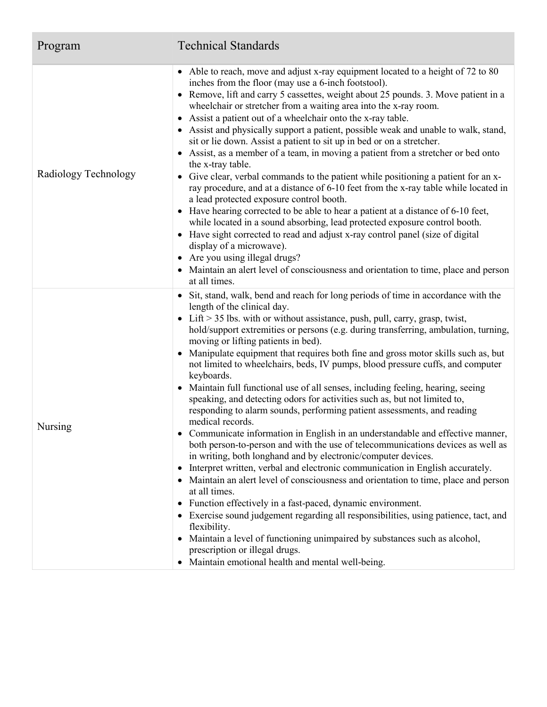| Program              | <b>Technical Standards</b>                                                                                                                                                                                                                                                                                                                                                                                                                                                                                                                                                                                                                                                                                                                                                                                                                                                                                                                                                                                                                                                                                                                                                                                                                                                                                                                                                                                                                                                                                                                                             |
|----------------------|------------------------------------------------------------------------------------------------------------------------------------------------------------------------------------------------------------------------------------------------------------------------------------------------------------------------------------------------------------------------------------------------------------------------------------------------------------------------------------------------------------------------------------------------------------------------------------------------------------------------------------------------------------------------------------------------------------------------------------------------------------------------------------------------------------------------------------------------------------------------------------------------------------------------------------------------------------------------------------------------------------------------------------------------------------------------------------------------------------------------------------------------------------------------------------------------------------------------------------------------------------------------------------------------------------------------------------------------------------------------------------------------------------------------------------------------------------------------------------------------------------------------------------------------------------------------|
| Radiology Technology | • Able to reach, move and adjust x-ray equipment located to a height of 72 to 80<br>inches from the floor (may use a 6-inch footstool).<br>• Remove, lift and carry 5 cassettes, weight about 25 pounds. 3. Move patient in a<br>wheelchair or stretcher from a waiting area into the x-ray room.<br>• Assist a patient out of a wheelchair onto the x-ray table.<br>• Assist and physically support a patient, possible weak and unable to walk, stand,<br>sit or lie down. Assist a patient to sit up in bed or on a stretcher.<br>• Assist, as a member of a team, in moving a patient from a stretcher or bed onto<br>the x-tray table.<br>• Give clear, verbal commands to the patient while positioning a patient for an x-<br>ray procedure, and at a distance of 6-10 feet from the x-ray table while located in<br>a lead protected exposure control booth.<br>• Have hearing corrected to be able to hear a patient at a distance of 6-10 feet,<br>while located in a sound absorbing, lead protected exposure control booth.<br>• Have sight corrected to read and adjust x-ray control panel (size of digital<br>display of a microwave).<br>• Are you using illegal drugs?<br>• Maintain an alert level of consciousness and orientation to time, place and person<br>at all times.                                                                                                                                                                                                                                                                       |
| Nursing              | • Sit, stand, walk, bend and reach for long periods of time in accordance with the<br>length of the clinical day.<br>• Lift > 35 lbs. with or without assistance, push, pull, carry, grasp, twist,<br>hold/support extremities or persons (e.g. during transferring, ambulation, turning,<br>moving or lifting patients in bed).<br>• Manipulate equipment that requires both fine and gross motor skills such as, but<br>not limited to wheelchairs, beds, IV pumps, blood pressure cuffs, and computer<br>keyboards.<br>• Maintain full functional use of all senses, including feeling, hearing, seeing<br>speaking, and detecting odors for activities such as, but not limited to,<br>responding to alarm sounds, performing patient assessments, and reading<br>medical records.<br>Communicate information in English in an understandable and effective manner,<br>both person-to-person and with the use of telecommunications devices as well as<br>in writing, both longhand and by electronic/computer devices.<br>• Interpret written, verbal and electronic communication in English accurately.<br>• Maintain an alert level of consciousness and orientation to time, place and person<br>at all times.<br>• Function effectively in a fast-paced, dynamic environment.<br>• Exercise sound judgement regarding all responsibilities, using patience, tact, and<br>flexibility.<br>• Maintain a level of functioning unimpaired by substances such as alcohol,<br>prescription or illegal drugs.<br>• Maintain emotional health and mental well-being. |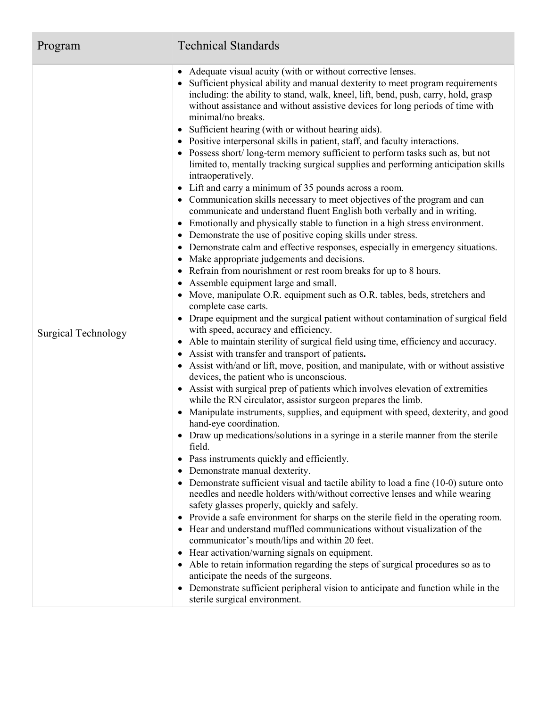| Program                    | <b>Technical Standards</b>                                                                                                                                                                                                                                                                                                                                                                                                                                                                                                                                                                                                                                                                                                                                                                                                                                                                                                                                                                                                                                                                                                                                                                                                                                                                                                                                                                                                                                                                                                                                                                                                                                                                                                                                                                                                                                                                                                                                                                                                                                                                                                                                                                                                                                                                                                                                                                                                                                                                                                                                                                                                                                                                                                                                                                                                                                                                                                                                                                                                                                                                                                                    |
|----------------------------|-----------------------------------------------------------------------------------------------------------------------------------------------------------------------------------------------------------------------------------------------------------------------------------------------------------------------------------------------------------------------------------------------------------------------------------------------------------------------------------------------------------------------------------------------------------------------------------------------------------------------------------------------------------------------------------------------------------------------------------------------------------------------------------------------------------------------------------------------------------------------------------------------------------------------------------------------------------------------------------------------------------------------------------------------------------------------------------------------------------------------------------------------------------------------------------------------------------------------------------------------------------------------------------------------------------------------------------------------------------------------------------------------------------------------------------------------------------------------------------------------------------------------------------------------------------------------------------------------------------------------------------------------------------------------------------------------------------------------------------------------------------------------------------------------------------------------------------------------------------------------------------------------------------------------------------------------------------------------------------------------------------------------------------------------------------------------------------------------------------------------------------------------------------------------------------------------------------------------------------------------------------------------------------------------------------------------------------------------------------------------------------------------------------------------------------------------------------------------------------------------------------------------------------------------------------------------------------------------------------------------------------------------------------------------------------------------------------------------------------------------------------------------------------------------------------------------------------------------------------------------------------------------------------------------------------------------------------------------------------------------------------------------------------------------------------------------------------------------------------------------------------------------|
| <b>Surgical Technology</b> | • Adequate visual acuity (with or without corrective lenses.<br>• Sufficient physical ability and manual dexterity to meet program requirements<br>including: the ability to stand, walk, kneel, lift, bend, push, carry, hold, grasp<br>without assistance and without assistive devices for long periods of time with<br>minimal/no breaks.<br>• Sufficient hearing (with or without hearing aids).<br>• Positive interpersonal skills in patient, staff, and faculty interactions.<br>• Possess short/long-term memory sufficient to perform tasks such as, but not<br>limited to, mentally tracking surgical supplies and performing anticipation skills<br>intraoperatively.<br>• Lift and carry a minimum of 35 pounds across a room.<br>• Communication skills necessary to meet objectives of the program and can<br>communicate and understand fluent English both verbally and in writing.<br>Emotionally and physically stable to function in a high stress environment.<br>$\bullet$<br>Demonstrate the use of positive coping skills under stress.<br>$\bullet$<br>Demonstrate calm and effective responses, especially in emergency situations.<br>$\bullet$<br>Make appropriate judgements and decisions.<br>٠<br>Refrain from nourishment or rest room breaks for up to 8 hours.<br>٠<br>Assemble equipment large and small.<br>$\bullet$<br>Move, manipulate O.R. equipment such as O.R. tables, beds, stretchers and<br>complete case carts.<br>• Drape equipment and the surgical patient without contamination of surgical field<br>with speed, accuracy and efficiency.<br>• Able to maintain sterility of surgical field using time, efficiency and accuracy.<br>Assist with transfer and transport of patients.<br>$\bullet$<br>• Assist with/and or lift, move, position, and manipulate, with or without assistive<br>devices, the patient who is unconscious.<br>• Assist with surgical prep of patients which involves elevation of extremities<br>while the RN circulator, assistor surgeon prepares the limb.<br>Manipulate instruments, supplies, and equipment with speed, dexterity, and good<br>$\bullet$<br>hand-eye coordination.<br>• Draw up medications/solutions in a syringe in a sterile manner from the sterile<br>field.<br>Pass instruments quickly and efficiently.<br>$\bullet$<br>Demonstrate manual dexterity.<br>٠<br>Demonstrate sufficient visual and tactile ability to load a fine (10-0) suture onto<br>$\bullet$<br>needles and needle holders with/without corrective lenses and while wearing<br>safety glasses properly, quickly and safely.<br>• Provide a safe environment for sharps on the sterile field in the operating room.<br>• Hear and understand muffled communications without visualization of the<br>communicator's mouth/lips and within 20 feet.<br>Hear activation/warning signals on equipment.<br>$\bullet$<br>• Able to retain information regarding the steps of surgical procedures so as to<br>anticipate the needs of the surgeons.<br>• Demonstrate sufficient peripheral vision to anticipate and function while in the<br>sterile surgical environment. |